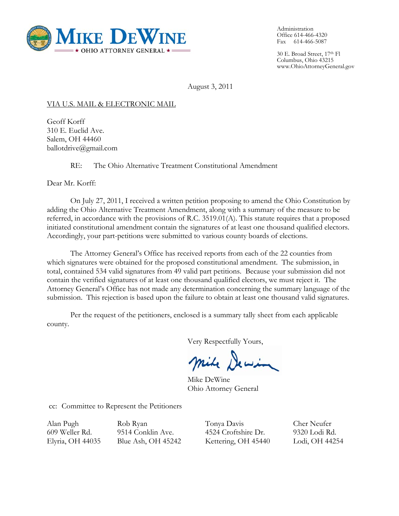

Administration Office 614-466-4320 Fax 614-466-5087

30 E. Broad Street, 17th Fl Columbus, Ohio 43215 www.OhioAttorneyGeneral.gov

August 3, 2011

## VIA U.S. MAIL & ELECTRONIC MAIL

Geoff Korff 310 E. Euclid Ave. Salem, OH 44460 ballotdrive@gmail.com

RE: The Ohio Alternative Treatment Constitutional Amendment

Dear Mr. Korff:

On July 27, 2011, I received a written petition proposing to amend the Ohio Constitution by adding the Ohio Alternative Treatment Amendment, along with a summary of the measure to be referred, in accordance with the provisions of R.C. 3519.01(A). This statute requires that a proposed initiated constitutional amendment contain the signatures of at least one thousand qualified electors. Accordingly, your part-petitions were submitted to various county boards of elections.

 The Attorney General's Office has received reports from each of the 22 counties from which signatures were obtained for the proposed constitutional amendment. The submission, in total, contained 534 valid signatures from 49 valid part petitions. Because your submission did not contain the verified signatures of at least one thousand qualified electors, we must reject it. The Attorney General's Office has not made any determination concerning the summary language of the submission. This rejection is based upon the failure to obtain at least one thousand valid signatures.

 Per the request of the petitioners, enclosed is a summary tally sheet from each applicable county.

Very Respectfully Yours,

mile Dewin

Mike DeWine Ohio Attorney General

cc: Committee to Represent the Petitioners

Alan Pugh 609 Weller Rd. Elyria, OH 44035

Rob Ryan 9514 Conklin Ave. Blue Ash, OH 45242 Tonya Davis 4524 Croftshire Dr. Kettering, OH 45440

Cher Neufer 9320 Lodi Rd. Lodi, OH 44254